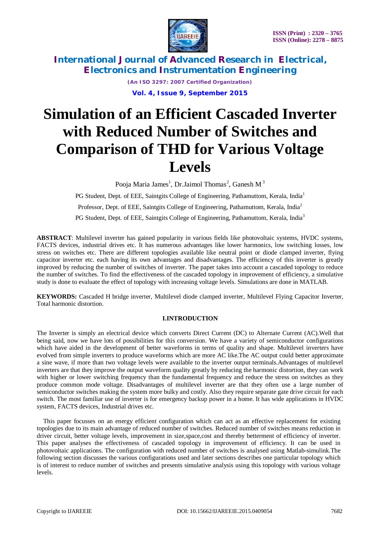

> *(An ISO 3297: 2007 Certified Organization)* **Vol. 4, Issue 9, September 2015**

# **Simulation of an Efficient Cascaded Inverter with Reduced Number of Switches and Comparison of THD for Various Voltage Levels**

Pooja Maria James<sup>1</sup>, Dr.Jaimol Thomas<sup>2</sup>, Ganesh M<sup>3</sup>

PG Student, Dept. of EEE, Saintgits College of Engineering, Pathamuttom, Kerala, India<sup>1</sup> Professor, Dept. of EEE, Saintgits College of Engineering, Pathamuttom, Kerala, India<sup>2</sup>

PG Student, Dept. of EEE, Saintgits College of Engineering, Pathamuttom, Kerala, India<sup>3</sup>

**ABSTRACT**: Multilevel inverter has gained popularity in various fields like photovoltaic systems, HVDC systems, FACTS devices, industrial drives etc. It has numerous advantages like lower harmonics, low switching losses, low stress on switches etc. There are different topologies available like neutral point or diode clamped inverter, flying capacitor inverter etc. each having its own advantages and disadvantages. The efficiency of this inverter is greatly improved by reducing the number of switches of inverter. The paper takes into account a cascaded topology to reduce the number of switches. To find the effectiveness of the cascaded topology in improvement of efficiency, a simulative study is done to evaluate the effect of topology with increasing voltage levels. Simulations are done in MATLAB.

**KEYWORDS:** Cascaded H bridge inverter, Multilevel diode clamped inverter, Multilevel Flying Capacitor Inverter, Total harmonic distortion.

## **I.INTRODUCTION**

The Inverter is simply an electrical device which converts Direct Current (DC) to Alternate Current (AC).Well that being said, now we have lots of possibilities for this conversion. We have a variety of semiconductor configurations which have aided in the development of better waveforms in terms of quality and shape. Multilevel inverters have evolved from simple inverters to produce waveforms which are more AC like.The AC output could better approximate a sine wave, if more than two voltage levels were available to the inverter output terminals.Advantages of multilevel inverters are that they improve the output waveform quality greatly by reducing the harmonic distortion, they can work with higher or lower switching frequency than the fundamental frequency and reduce the stress on switches as they produce common mode voltage. Disadvantages of multilevel inverter are that they often use a large number of semiconductor switches making the system more bulky and costly. Also they require separate gate drive circuit for each switch. The most familiar use of inverter is for emergency backup power in a home. It has wide applications in HVDC system, FACTS devices, Industrial drives etc.

This paper focusses on an energy efficient configuration which can act as an effective replacement for existing topologies due to its main advantage of reduced number of switches. Reduced number of switches means reduction in driver circuit, better voltage levels, improvement in size,space,cost and thereby betterment of efficiency of inverter. This paper analyses the effectiveness of cascaded topology in improvement of efficiency. It can be used in photovoltaic applications. The configuration with reduced number of switches is analysed using Matlab-simulink.The following section discusses the various configurations used and later sections describes one particular topology which is of interest to reduce number of switches and presents simulative analysis using this topology with various voltage levels.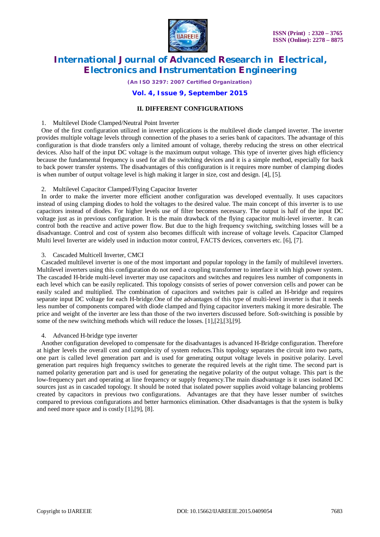

*(An ISO 3297: 2007 Certified Organization)*

#### **Vol. 4, Issue 9, September 2015**

#### **II. DIFFERENT CONFIGURATIONS**

#### 1. Multilevel Diode Clamped/Neutral Point Inverter

One of the first configuration utilized in inverter applications is the multilevel diode clamped inverter. The inverter provides multiple voltage levels through connection of the phases to a series bank of capacitors. The advantage of this configuration is that diode transfers only a limited amount of voltage, thereby reducing the stress on other electrical devices. Also half of the input DC voltage is the maximum output voltage. This type of inverter gives high efficiency because the fundamental frequency is used for all the switching devices and it is a simple method, especially for back to back power transfer systems. The disadvantages of this configuration is it requires more number of clamping diodes is when number of output voltage level is high making it larger in size, cost and design. [4], [5].

#### 2. Multilevel Capacitor Clamped/Flying Capacitor Inverter

In order to make the inverter more efficient another configuration was developed eventually. It uses capacitors instead of using clamping diodes to hold the voltages to the desired value. The main concept of this inverter is to use capacitors instead of diodes. For higher levels use of filter becomes necessary. The output is half of the input DC voltage just as in previous configuration. It is the main drawback of the flying capacitor multi-level inverter. It can control both the reactive and active power flow. But due to the high frequency switching, switching losses will be a disadvantage. Control and cost of system also becomes difficult with increase of voltage levels. Capacitor Clamped Multi level Inverter are widely used in induction motor control, FACTS devices, converters etc. [6], [7].

#### 3. Cascaded Multicell Inverter, CMCI

Cascaded multilevel inverter is one of the most important and popular topology in the family of multilevel inverters. Multilevel inverters using this configuration do not need a coupling transformer to interface it with high power system. The cascaded H-bride multi-level inverter may use capacitors and switches and requires less number of components in each level which can be easily replicated. This topology consists of series of power conversion cells and power can be easily scaled and multiplied. The combination of capacitors and switches pair is called an H-bridge and requires separate input DC voltage for each H-bridge.One of the advantages of this type of multi-level inverter is that it needs less number of components compared with diode clamped and flying capacitor inverters making it more desirable. The price and weight of the inverter are less than those of the two inverters discussed before. Soft-switching is possible by some of the new switching methods which will reduce the losses. [1],[2],[3],[9].

#### 4. Advanced H-bridge type inverter

Another configuration developed to compensate for the disadvantages is advanced H-Bridge configuration. Therefore at higher levels the overall cost and complexity of system reduces.This topology separates the circuit into two parts, one part is called level generation part and is used for generating output voltage levels in positive polarity. Level generation part requires high frequency switches to generate the required levels at the right time. The second part is named polarity generation part and is used for generating the negative polarity of the output voltage. This part is the low-frequency part and operating at line frequency or supply frequency.The main disadvantage is it uses isolated DC sources just as in cascaded topology. It should be noted that isolated power supplies avoid voltage balancing problems created by capacitors in previous two configurations. Advantages are that they have lesser number of switches compared to previous configurations and better harmonics elimination. Other disadvantages is that the system is bulky and need more space and is costly [1],[9], [8].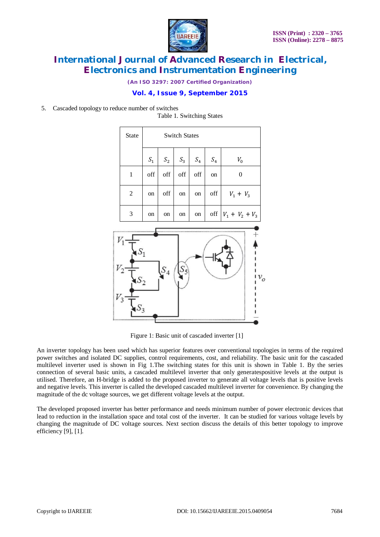

*(An ISO 3297: 2007 Certified Organization)*

## **Vol. 4, Issue 9, September 2015**

5. Cascaded topology to reduce number of switches

State Switch States  $S_1$   $S_2$   $S_3$   $S_4$   $S_4$   $V_0$  $1 \mid \text{off} \mid \text{off} \mid \text{off} \mid \text{off} \mid \text{on} \mid 0$ 2 on off on on off  $V_1 + V_3$ 3 \ on \ on \ on \ on \ off  $|V_1 + V_2 + V_3|$  $v_o$ 

Table 1. Switching States

Figure 1: Basic unit of cascaded inverter [1]

An inverter topology has been used which has superior features over conventional topologies in terms of the required power switches and isolated DC supplies, control requirements, cost, and reliability. The basic unit for the cascaded multilevel inverter used is shown in Fig 1.The switching states for this unit is shown in Table 1. By the series connection of several basic units, a cascaded multilevel inverter that only generatespositive levels at the output is utilised. Therefore, an H-bridge is added to the proposed inverter to generate all voltage levels that is positive levels and negative levels. This inverter is called the developed cascaded multilevel inverter for convenience. By changing the magnitude of the dc voltage sources, we get different voltage levels at the output.

The developed proposed inverter has better performance and needs minimum number of power electronic devices that lead to reduction in the installation space and total cost of the inverter. It can be studied for various voltage levels by changing the magnitude of DC voltage sources. Next section discuss the details of this better topology to improve efficiency [9], [1].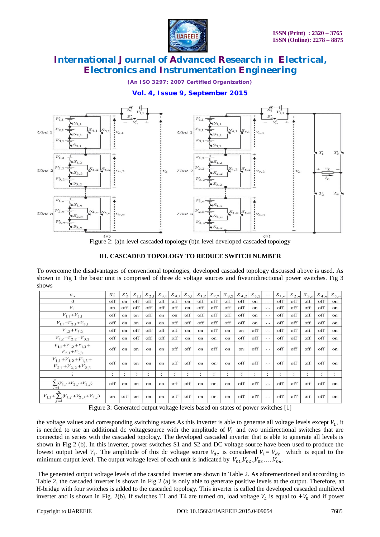

*(An ISO 3297: 2007 Certified Organization)*

## **Vol. 4, Issue 9, September 2015**



Figure 2: (a)n level cascaded topology (b)n level developed cascaded topology

#### **III. CASCADED TOPOLOGY TO REDUCE SWITCH NUMBER**

To overcome the disadvantages of conventional topologies, developed cascaded topology discussed above is used. As shown in Fig 1 the basic unit is comprised of three dc voltage sources and fiveunidirectional power switches. Fig 3 shows

| $v_o$                                                            | $S_1'$               | $S'_2$               | $S_{1,11}$    | $S_{2,11}$           | $(S_{3,11})$ | $S_{4,1}$      | $S_{5,1}$      | $S_{1,2}$ | $(S_{2,2})$  | $S_{3,2}$ | $ S_{4,2} $ | $S_{5,2}$ | $\cdots$             | $S_{1,n}$            | $S_{2,n}$ | $S_{3,n}$            | $S_{4,nl}$ | $S_{5,n}$     |
|------------------------------------------------------------------|----------------------|----------------------|---------------|----------------------|--------------|----------------|----------------|-----------|--------------|-----------|-------------|-----------|----------------------|----------------------|-----------|----------------------|------------|---------------|
| $\theta$                                                         | off                  | on                   | off           | off                  | off          | off            | on             | off       | off          | off       | off         | on        | $\cdots$             | off                  | off       | off                  | off        | on            |
| $V_1$                                                            | on                   | off                  | off           | off                  | off          | off            | on             | off       | off          | off       | off         | on        | $\cdots$             | off                  | off       | off                  | off        | on            |
| $V_{1,1} + V_{3,1}$                                              | off                  | <sub>on</sub>        | on            | off                  | on           | on             | off            | off       | off          | off       | off         | on        | $\cdots$             | off                  | off       | off                  | off        | on            |
| $V_{1,1} + V_{2,1} + V_{3,1}$                                    | off                  | on                   | <sub>on</sub> | on                   | on           | off            | off            | off       | off          | off       | off         | on        | $\cdots$             | off                  | off       | off                  | off        | <sub>on</sub> |
| $V_{1,2} + V_{3,2}$                                              | off                  | on                   | off           | off                  | off          | off            | on             | on        | off          | on        | on          | off       | $\ddots$             | off                  | off       | off                  | off        | on            |
| $V_{1,2} + V_{2,2} + V_{3,2}$                                    | off                  | $^{\circ}$           | off           | off                  | off          | off            | $_{\text{on}}$ | on        | on           | on        | off         | off       | $\cdots$             | off                  | off       | off                  | off        | on            |
| $V_{1,1} + V_{1,2} + V_{1,3} +$<br>$V_{2,1} + V_{2,3}$           | off                  | on                   | on            | on                   | on           | off            | off            | on        | off          | on        | on          | off       | $\sim$ $\sim$ $\sim$ | off                  | off       | off                  | off        | on            |
| $V_{1,1} + V_{1,2} + V_{1,3} +$<br>$V_{2,1} + V_{2,2} + V_{2,3}$ | off                  | $^{\circ}$           | on            | $^{\circ}$           | on           | off            | off            | on        | on.          | on        | off         | off       | $\cdots$             | off                  | off       | off                  | off        | $_{\rm on}$   |
|                                                                  | $\ddot{\phantom{a}}$ | $\ddot{\phantom{a}}$ | ÷             | $\ddot{\phantom{a}}$ | ٠<br>$\cdot$ | $\ddot{\cdot}$ | $\bullet$      | $\bullet$ | ٠<br>$\cdot$ | $\bullet$ | ÷           | $\bullet$ | ÷                    | $\ddot{\phantom{1}}$ | $\cdot$   | $\ddot{\phantom{a}}$ | $\cdot$    | $\cdot$       |
| $\sum_{j=1}^{n} (V_{1,j} + V_{2,j} + V_{3,j})$                   | off                  | on                   | on            | on                   | on           | off            | off            | on        | on           | on        | off         | off       | $\cdots$             | off                  | off       | off                  | off        | on            |
| $V_{1,1} + \sum_{j} (V_{1,j} + V_{2,j} + V_{3,j})$<br>' = l      | on                   | off                  | on            | on                   | on           | off            | off            | on        | on           | on        | off         | off       | $\cdots$             | off                  | off       | off                  | off        | on            |

Figure 3: Generated output voltage levels based on states of power switches [1]

the voltage values and corresponding switching states. As this inverter is able to generate all voltage levels except  $V_1$ , it is needed to use an additional dc voltagesource with the amplitude of  $V_1$  and two unidirectional switches that are connected in series with the cascaded topology. The developed cascaded inverter that is able to generate all levels is shown in Fig 2 (b). In this inverter, power switches S1 and S2 and DC voltage source have been used to produce the lowest output level  $V_1$ . The amplitude of this dc voltage source  $V_{dc}$  is considered  $V_1 = V_{dc}$  which is equal to the minimum output level. The output voltage level of each unit is indicated by  $V_{01}$ ,  $V_{02}$ ,  $V_{03}$ , ....,  $V_{0n}$ .

The generated output voltage levels of the cascaded inverter are shown in Table 2. As aforementioned and according to Table 2, the cascaded inverter is shown in Fig 2 (a) is only able to generate positive levels at the output. Therefore, an H-bridge with four switches is added to the cascaded topology. This inverter is called the developed cascaded multilevel inverter and is shown in Fig. 2(b). If switches T1 and T4 are turned on, load voltage  $V_L$  is equal to  $+V_0$  and if power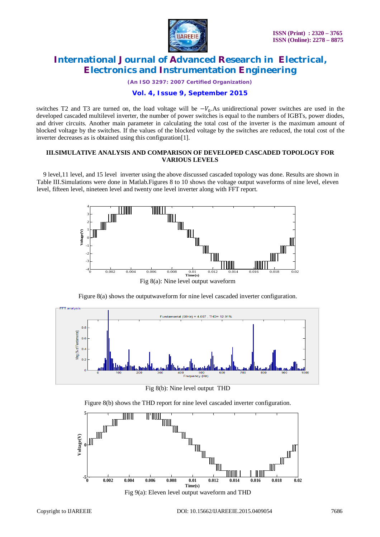

*(An ISO 3297: 2007 Certified Organization)*

## **Vol. 4, Issue 9, September 2015**

switches T2 and T3 are turned on, the load voltage will be  $-V_0$ . As unidirectional power switches are used in the developed cascaded multilevel inverter, the number of power switches is equal to the numbers of IGBTs, power diodes, and driver circuits. Another main parameter in calculating the total cost of the inverter is the maximum amount of blocked voltage by the switches. If the values of the blocked voltage by the switches are reduced, the total cost of the inverter decreases as is obtained using this configuration[1].

#### **III.SIMULATIVE ANALYSIS AND COMPARISON OF DEVELOPED CASCADED TOPOLOGY FOR VARIOUS LEVELS**

9 level,11 level, and 15 level inverter using the above discussed cascaded topology was done. Results are shown in Table III.Simulations were done in Matlab.Figures 8 to 10 shows the voltage output waveforms of nine level, eleven level, fifteen level, nineteen level and twenty one level inverter along with FFT report.



Figure 8(a) shows the outputwaveform for nine level cascaded inverter configuration.



Fig 8(b): Nine level output THD



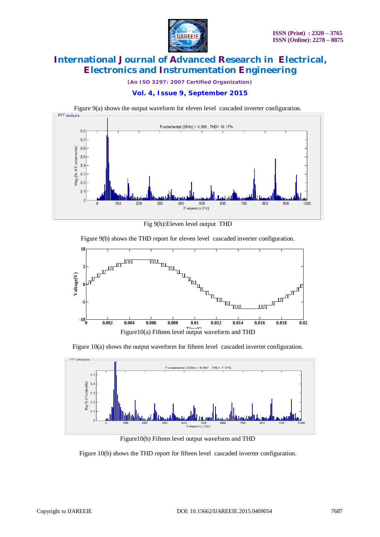

*(An ISO 3297: 2007 Certified Organization)*

## **Vol. 4, Issue 9, September 2015**



Fig 9(b):Eleven level output THD

Figure 9(b) shows the THD report for eleven level cascaded inverter configuration.



Figure 10(a) shows the output waveform for fifteen level cascaded inverter configuration.



Figure10(b) Fifteen level output waveform and THD

Figure 10(b) shows the THD report for fifteen level cascaded inverter configuration.